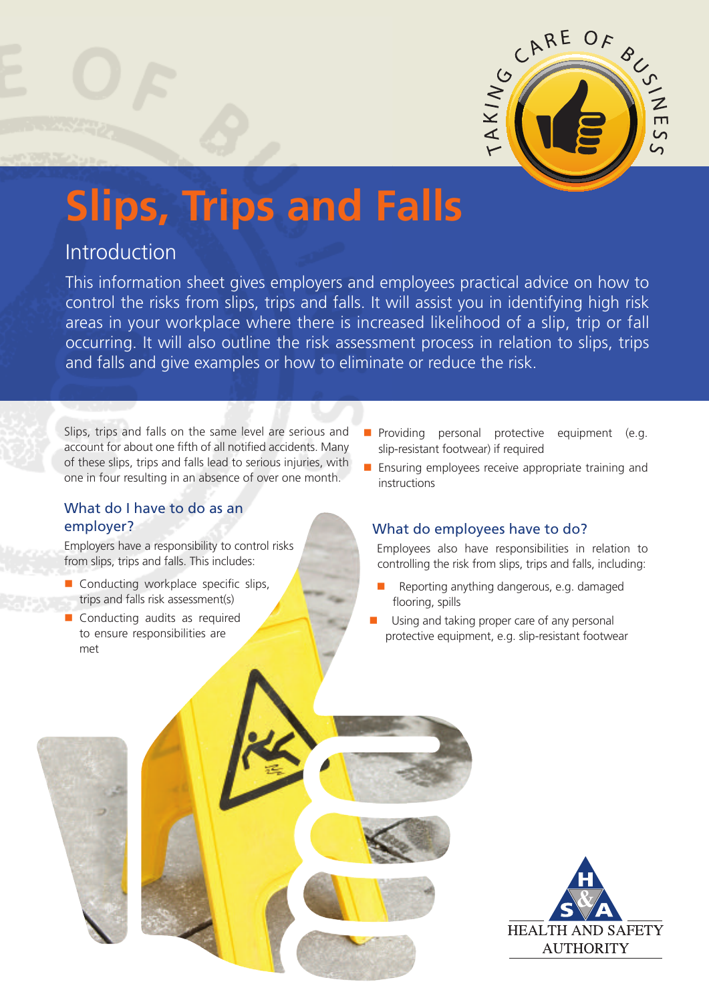

# **Slips, Trips and Falls**

# Introduction

This information sheet gives employers and employees practical advice on how to control the risks from slips, trips and falls. It will assist you in identifying high risk areas in your workplace where there is increased likelihood of a slip, trip or fall occurring. It will also outline the risk assessment process in relation to slips, trips and falls and give examples or how to eliminate or reduce the risk.

Slips, trips and falls on the same level are serious and account for about one fifth of all notified accidents. Many of these slips, trips and falls lead to serious injuries, with one in four resulting in an absence of over one month.

## What do I have to do as an employer?

Employers have a responsibility to control risks from slips, trips and falls. This includes:

- Conducting workplace specific slips, trips and falls risk assessment(s)
- Conducting audits as required to ensure responsibilities are met
- **Providing personal protective equipment (e.g.** slip-resistant footwear) if required
- **Ensuring employees receive appropriate training and** instructions

## What do employees have to do?

Employees also have responsibilities in relation to controlling the risk from slips, trips and falls, including:

- Reporting anything dangerous, e.g. damaged flooring, spills
- Using and taking proper care of any personal protective equipment, e.g. slip-resistant footwear

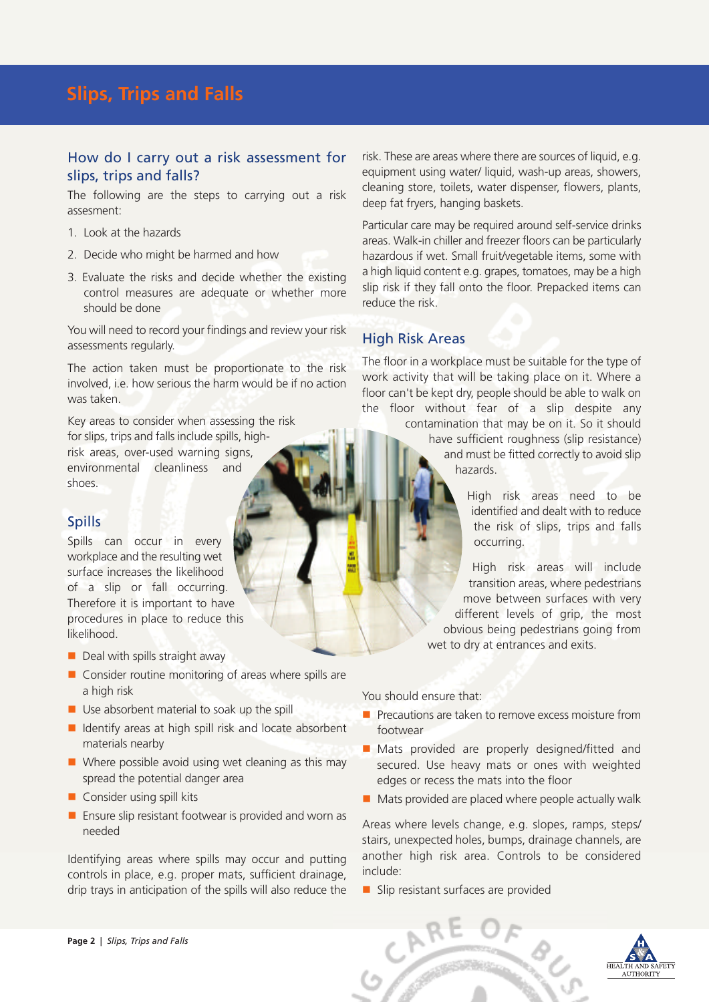### How do I carry out a risk assessment for slips, trips and falls?

The following are the steps to carrying out a risk assesment:

- 1. Look at the hazards
- 2. Decide who might be harmed and how
- 3. Evaluate the risks and decide whether the existing control measures are adequate or whether more should be done

You will need to record your findings and review your risk assessments regularly.

The action taken must be proportionate to the risk involved, i.e. how serious the harm would be if no action was taken.

Key areas to consider when assessing the risk for slips, trips and falls include spills, highrisk areas, over-used warning signs, environmental cleanliness and shoes.

## Spills

Spills can occur in every workplace and the resulting wet surface increases the likelihood of a slip or fall occurring. Therefore it is important to have procedures in place to reduce this likelihood.

- $\blacksquare$  Deal with spills straight away
- $\blacksquare$  Consider routine monitoring of areas where spills are a high risk
- $\blacksquare$  Use absorbent material to soak up the spill
- $\blacksquare$  Identify areas at high spill risk and locate absorbent materials nearby
- Where possible avoid using wet cleaning as this may spread the potential danger area
- Consider using spill kits
- **E** Ensure slip resistant footwear is provided and worn as needed

Identifying areas where spills may occur and putting controls in place, e.g. proper mats, sufficient drainage, drip trays in anticipation of the spills will also reduce the

risk. These are areas where there are sources of liquid, e.g. equipment using water/ liquid, wash-up areas, showers, cleaning store, toilets, water dispenser, flowers, plants, deep fat fryers, hanging baskets.

Particular care may be required around self-service drinks areas. Walk-in chiller and freezer floors can be particularly hazardous if wet. Small fruit/vegetable items, some with a high liquid content e.g. grapes, tomatoes, may be a high slip risk if they fall onto the floor. Prepacked items can reduce the risk.

## High Risk Areas

The floor in a workplace must be suitable for the type of work activity that will be taking place on it. Where a floor can't be kept dry, people should be able to walk on the floor without fear of a slip despite any

> contamination that may be on it. So it should have sufficient roughness (slip resistance) and must be fitted correctly to avoid slip hazards.

> > High risk areas need to be identified and dealt with to reduce the risk of slips, trips and falls occurring.

High risk areas will include transition areas, where pedestrians move between surfaces with very different levels of grip, the most obvious being pedestrians going from wet to dry at entrances and exits.

You should ensure that:

- $\blacksquare$  Precautions are taken to remove excess moisture from footwear
- Mats provided are properly designed/fitted and secured. Use heavy mats or ones with weighted edges or recess the mats into the floor
- $\blacksquare$  Mats provided are placed where people actually walk

Areas where levels change, e.g. slopes, ramps, steps/ stairs, unexpected holes, bumps, drainage channels, are another high risk area. Controls to be considered include:

Slip resistant surfaces are provided



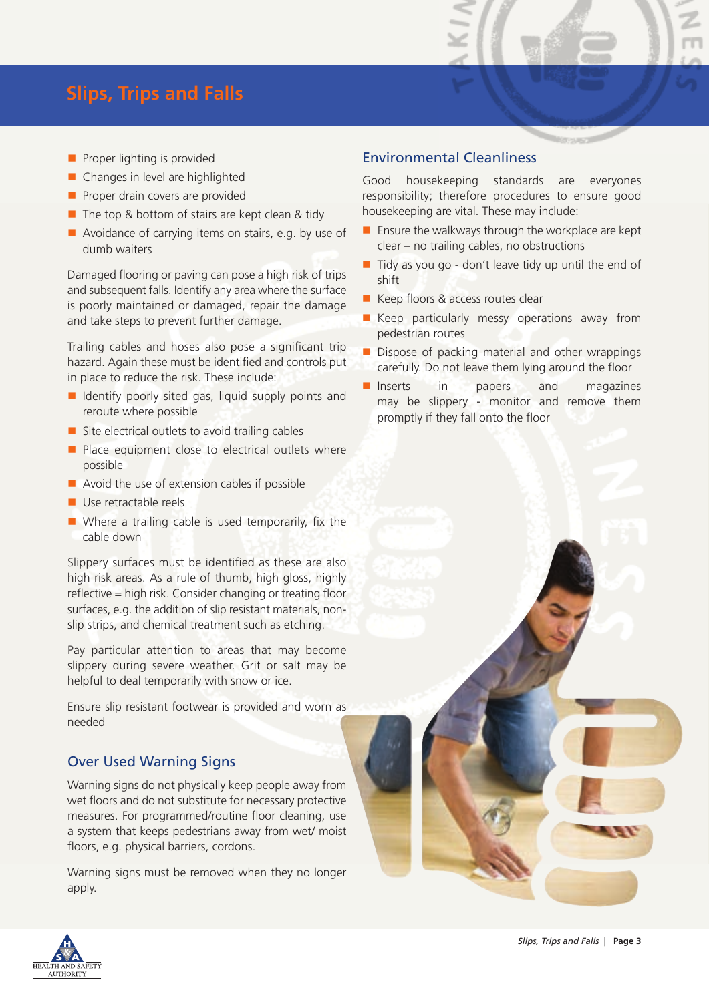## **Slips, Trips and Falls**

- $\blacksquare$  Proper lighting is provided
- Changes in level are highlighted
- $\blacksquare$  Proper drain covers are provided
- $\blacksquare$  The top & bottom of stairs are kept clean & tidy
- Avoidance of carrying items on stairs, e.g. by use of dumb waiters

Damaged flooring or paving can pose a high risk of trips and subsequent falls. Identify any area where the surface is poorly maintained or damaged, repair the damage and take steps to prevent further damage.

Trailing cables and hoses also pose a significant trip hazard. Again these must be identified and controls put in place to reduce the risk. These include:

- $\blacksquare$  Identify poorly sited gas, liquid supply points and reroute where possible
- $\blacksquare$  Site electrical outlets to avoid trailing cables
- $\blacksquare$  Place equipment close to electrical outlets where possible
- $\blacksquare$  Avoid the use of extension cables if possible
- Use retractable reels
- Where a trailing cable is used temporarily, fix the cable down

Slippery surfaces must be identified as these are also high risk areas. As a rule of thumb, high gloss, highly reflective = high risk. Consider changing or treating floor surfaces, e.g. the addition of slip resistant materials, nonslip strips, and chemical treatment such as etching.

Pay particular attention to areas that may become slippery during severe weather. Grit or salt may be helpful to deal temporarily with snow or ice.

Ensure slip resistant footwear is provided and worn as needed

## Over Used Warning Signs

Warning signs do not physically keep people away from wet floors and do not substitute for necessary protective measures. For programmed/routine floor cleaning, use a system that keeps pedestrians away from wet/ moist floors, e.g. physical barriers, cordons.

Warning signs must be removed when they no longer apply.

## Environmental Cleanliness

Good housekeeping standards are everyones responsibility; therefore procedures to ensure good housekeeping are vital. These may include:

- $\blacksquare$  Ensure the walkways through the workplace are kept clear – no trailing cables, no obstructions
- $\blacksquare$  Tidy as you go don't leave tidy up until the end of shift
- Keep floors & access routes clear
- **Keep particularly messy operations away from** pedestrian routes
- Dispose of packing material and other wrappings carefully. Do not leave them lying around the floor
- Inserts in papers and magazines may be slippery - monitor and remove them promptly if they fall onto the floor